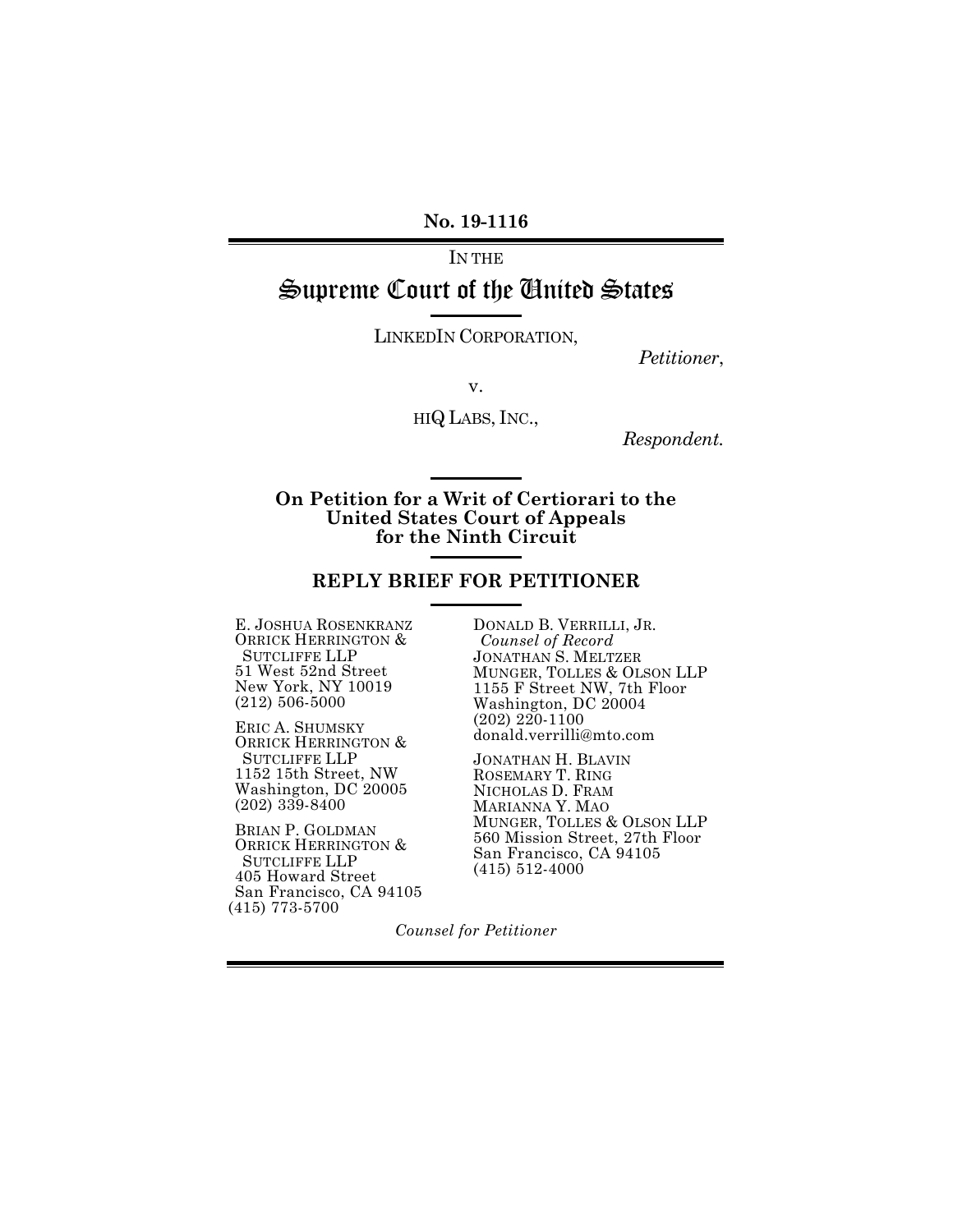**No. 19-1116**

IN THE Supreme Court of the United States

LINKEDIN CORPORATION,

*Petitioner*,

v.

HIQ LABS, INC.,

*Respondent.*

**On Petition for a Writ of Certiorari to the United States Court of Appeals for the Ninth Circuit**

#### **REPLY BRIEF FOR PETITIONER**

E. JOSHUA ROSENKRANZ ORRICK HERRINGTON & SUTCLIFFE LLP 51 West 52nd Street New York, NY 10019 (212) 506-5000

ERIC A. SHUMSKY ORRICK HERRINGTON & SUTCLIFFE LLP 1152 15th Street, NW Washington, DC 20005 (202) 339-8400

BRIAN P. GOLDMAN ORRICK HERRINGTON & SUTCLIFFE LLP 405 Howard Street San Francisco, CA 94105 (415) 773-5700

DONALD B. VERRILLI, JR. *Counsel of Record* JONATHAN S. MELTZER MUNGER, TOLLES & OLSON LLP 1155 F Street NW, 7th Floor Washington, DC 20004 (202) 220-1100 donald.verrilli@mto.com

JONATHAN H. BLAVIN ROSEMARY T. RING NICHOLAS D. FRAM MARIANNA Y. MAO MUNGER, TOLLES & OLSON LLP 560 Mission Street, 27th Floor San Francisco, CA 94105 (415) 512-4000

*Counsel for Petitioner*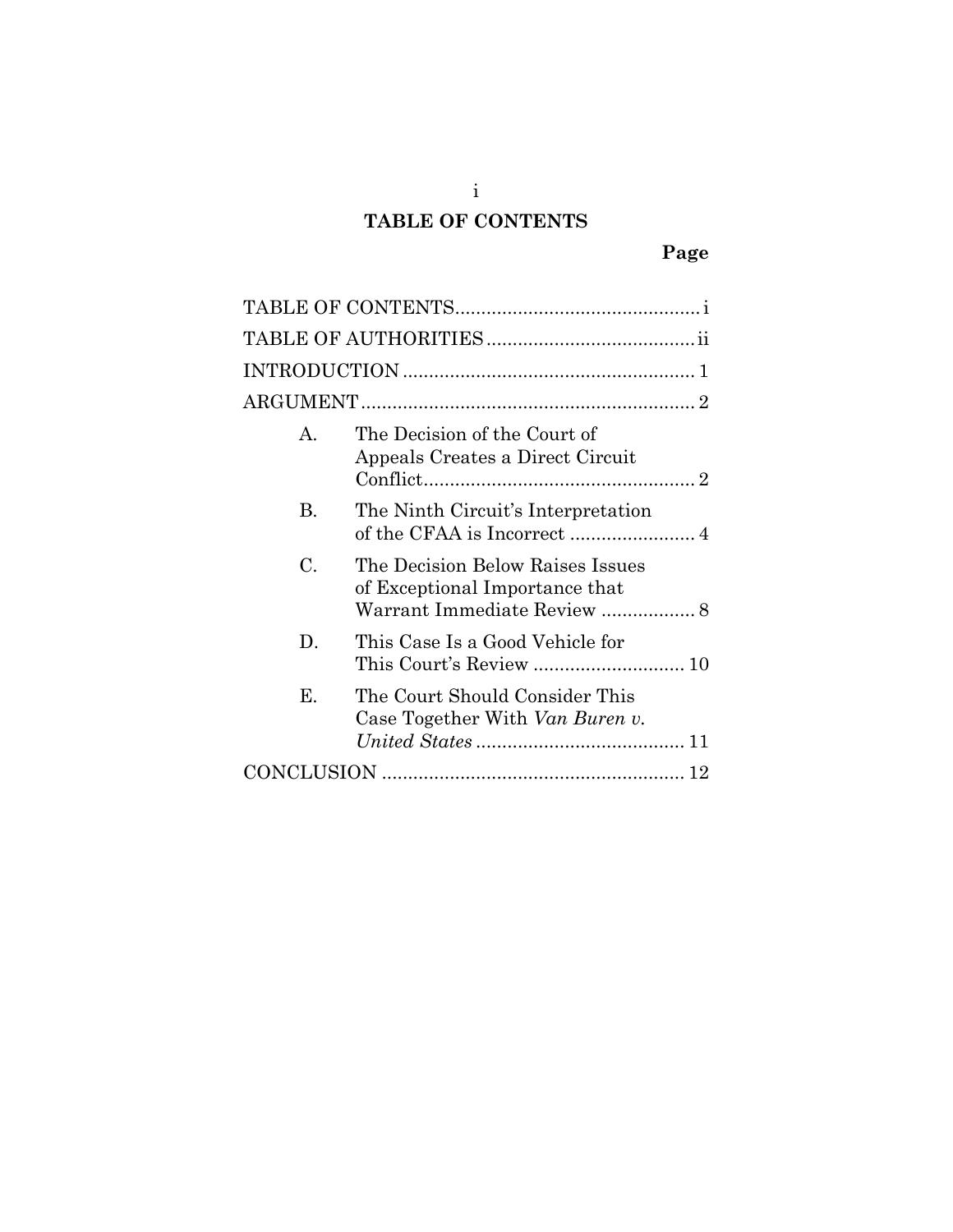# **TABLE OF CONTENTS**

<span id="page-1-0"></span>

| $\mathsf{A}$ | The Decision of the Court of<br>Appeals Creates a Direct Circuit                                  |  |  |
|--------------|---------------------------------------------------------------------------------------------------|--|--|
| В.           | The Ninth Circuit's Interpretation                                                                |  |  |
| C.           | The Decision Below Raises Issues<br>of Exceptional Importance that<br>Warrant Immediate Review  8 |  |  |
| D.           | This Case Is a Good Vehicle for                                                                   |  |  |
| Е.           | The Court Should Consider This<br>Case Together With Van Buren v.                                 |  |  |
|              |                                                                                                   |  |  |

i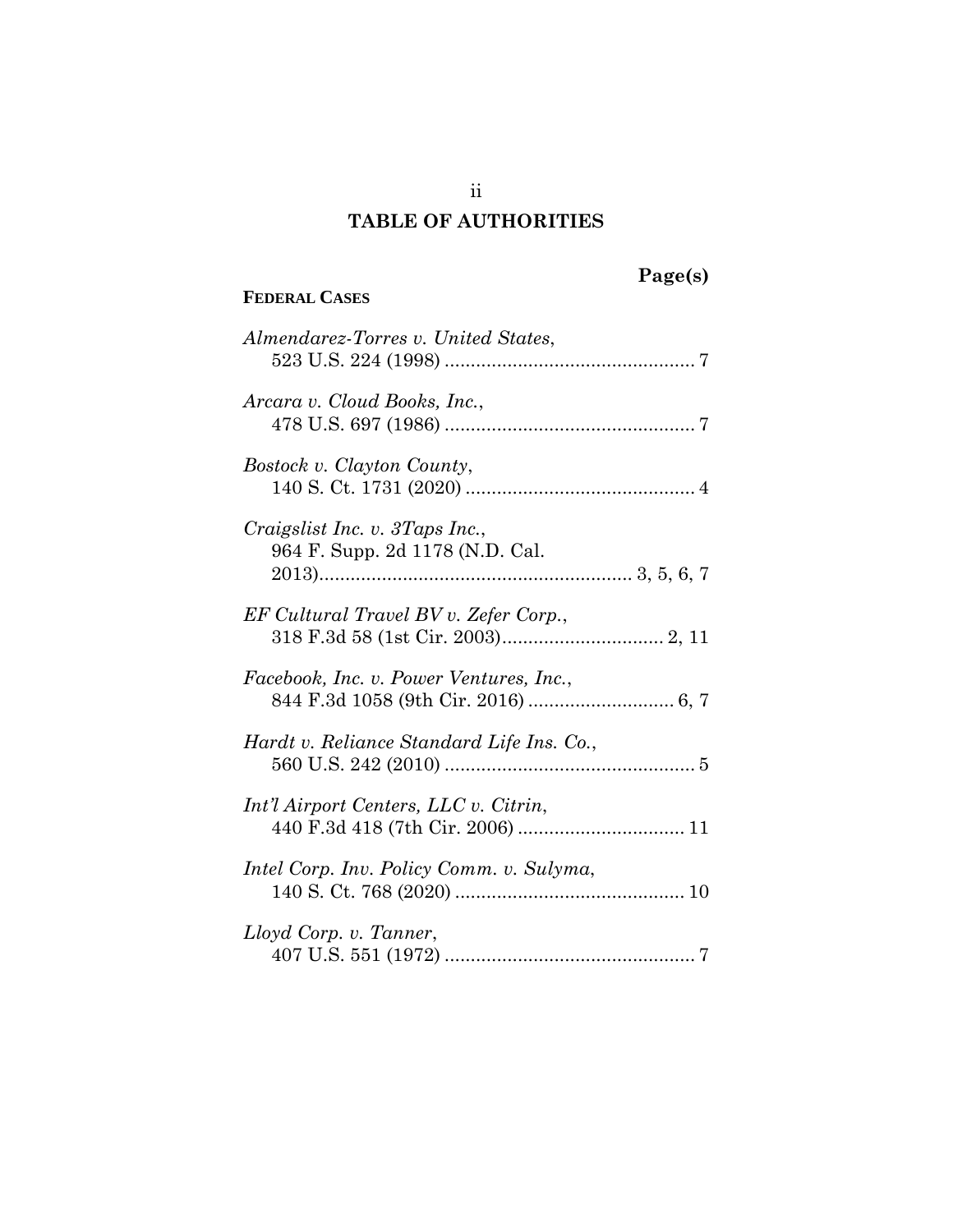## **TABLE OF AUTHORITIES**

## <span id="page-2-0"></span>**FEDERAL CASES**

# **Page(s)**

| Almendarez-Torres v. United States,                               |
|-------------------------------------------------------------------|
| Arcara v. Cloud Books, Inc.,                                      |
| Bostock v. Clayton County,                                        |
| Craigslist Inc. v. 3Taps Inc.,<br>964 F. Supp. 2d 1178 (N.D. Cal. |
| EF Cultural Travel BV v. Zefer Corp.,                             |
| Facebook, Inc. v. Power Ventures, Inc.,                           |
| Hardt v. Reliance Standard Life Ins. Co.,                         |
| Int'l Airport Centers, LLC v. Citrin,                             |
| Intel Corp. Inv. Policy Comm. v. Sulyma,                          |
| Lloyd Corp. v. Tanner,                                            |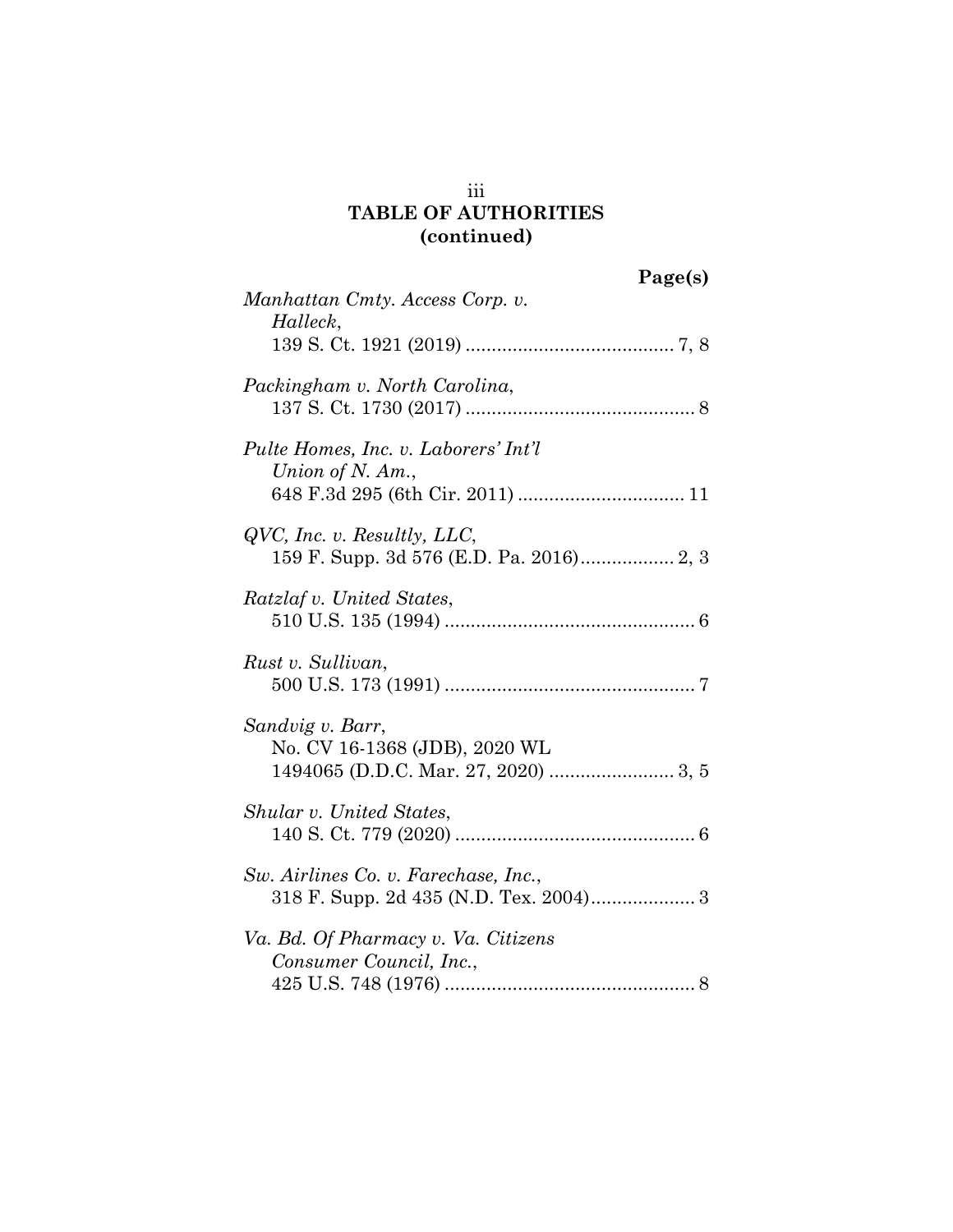## iii **TABLE OF AUTHORITIES (continued)**

|                                                                                | Page(s) |
|--------------------------------------------------------------------------------|---------|
| Manhattan Cmty. Access Corp. v.<br>Halleck,                                    |         |
| Packingham v. North Carolina,                                                  |         |
| Pulte Homes, Inc. v. Laborers' Int'l<br>Union of N. Am.,                       |         |
| $QVC$ , Inc. v. Resultly, LLC,<br>159 F. Supp. 3d 576 (E.D. Pa. 2016) 2, 3     |         |
| Ratzlaf v. United States,                                                      |         |
| Rust v. Sullivan,                                                              |         |
| Sandvig v. Barr,<br>No. CV 16-1368 (JDB), 2020 WL                              |         |
| Shular v. United States,                                                       |         |
| Sw. Airlines Co. v. Farechase, Inc.,<br>318 F. Supp. 2d 435 (N.D. Tex. 2004) 3 |         |
| Va. Bd. Of Pharmacy v. Va. Citizens<br>Consumer Council, Inc.,                 |         |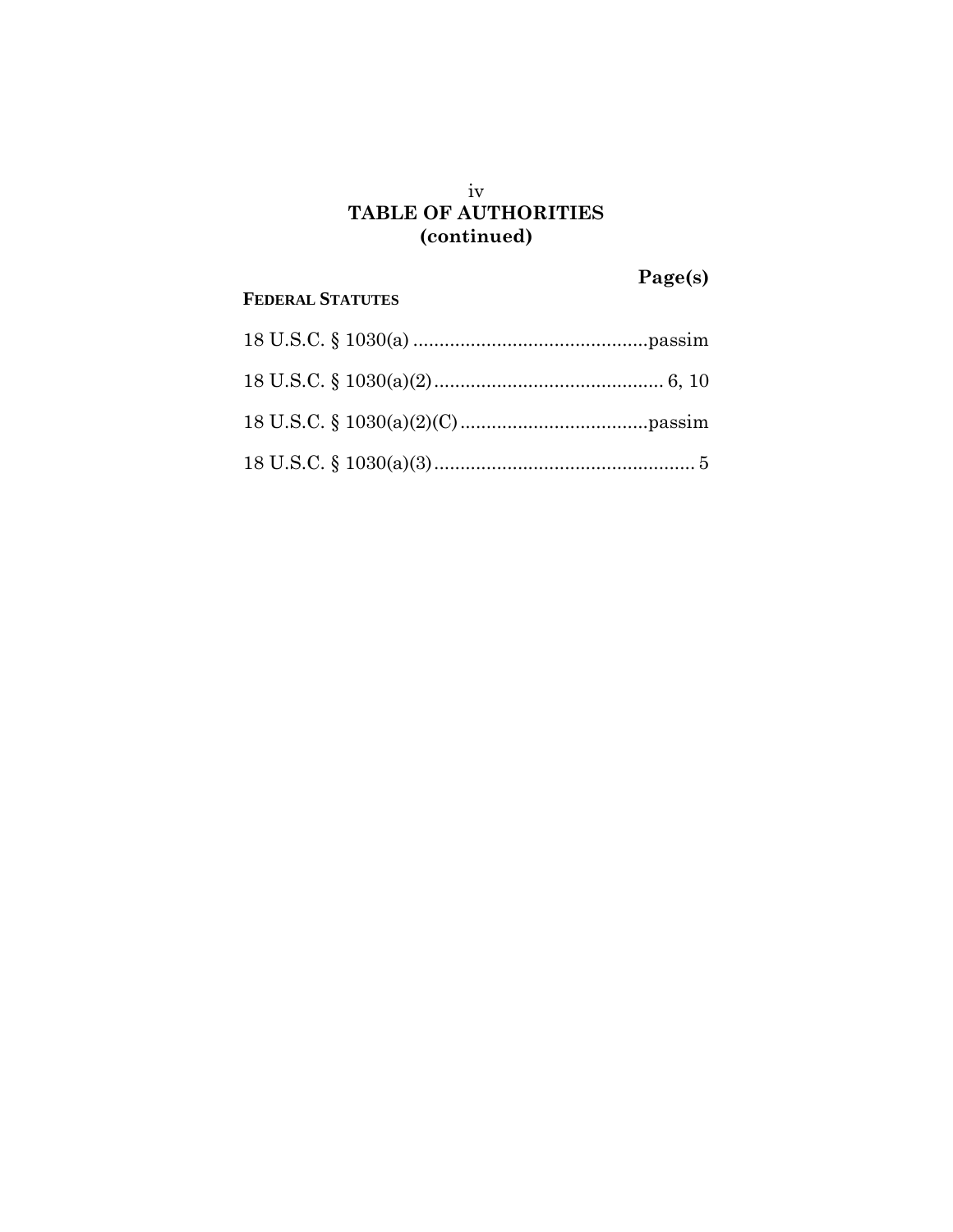## iv **TABLE OF AUTHORITIES (continued)**

**Page(s)**

## **FEDERAL STATUTES**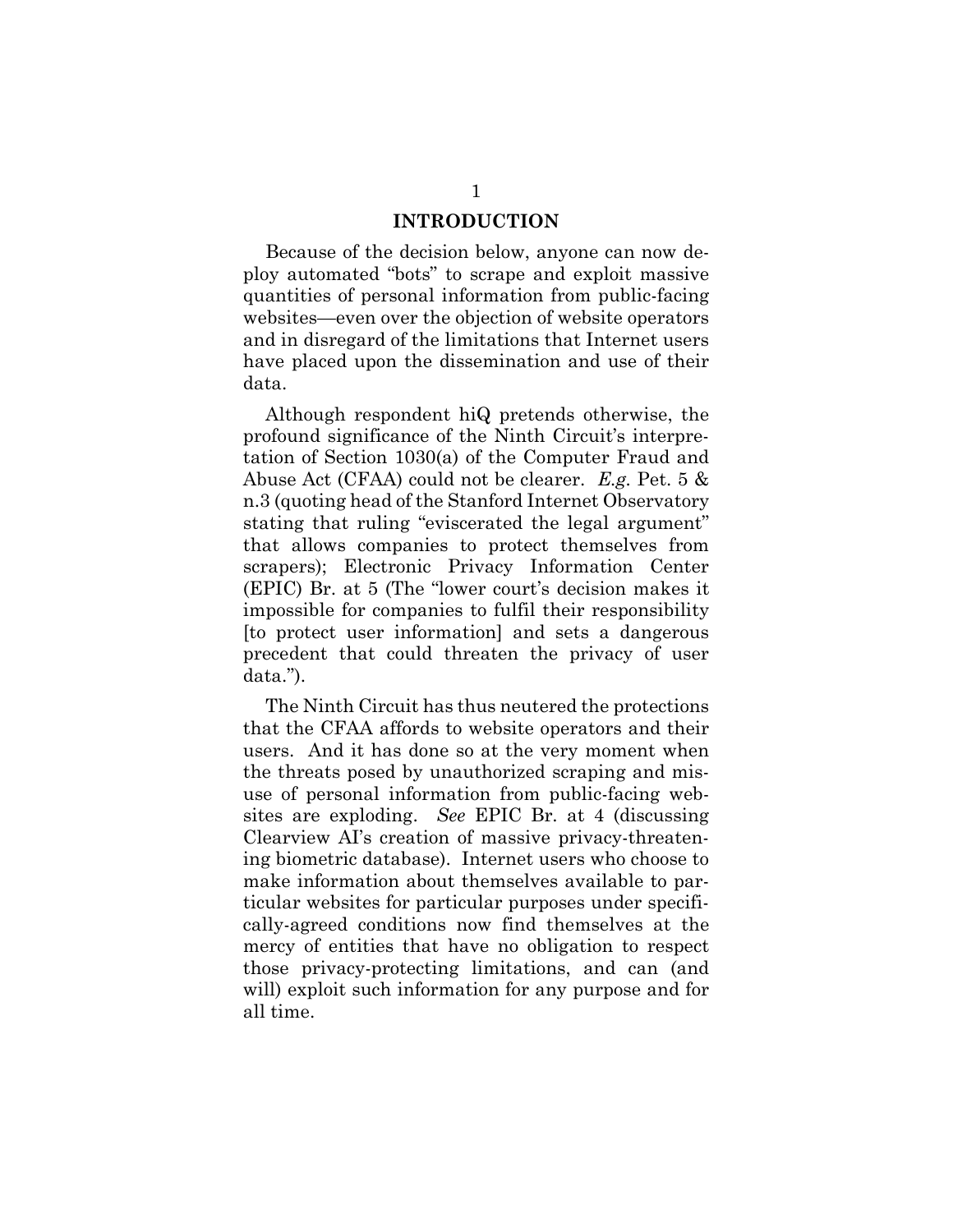#### **INTRODUCTION**

<span id="page-5-0"></span>Because of the decision below, anyone can now deploy automated "bots" to scrape and exploit massive quantities of personal information from public-facing websites—even over the objection of website operators and in disregard of the limitations that Internet users have placed upon the dissemination and use of their data.

Although respondent hiQ pretends otherwise, the profound significance of the Ninth Circuit's interpretation of Section 1030(a) of the Computer Fraud and Abuse Act (CFAA) could not be clearer. *E.g.* Pet. 5 & n.3 (quoting head of the Stanford Internet Observatory stating that ruling "eviscerated the legal argument" that allows companies to protect themselves from scrapers); Electronic Privacy Information Center (EPIC) Br. at 5 (The "lower court's decision makes it impossible for companies to fulfil their responsibility [to protect user information] and sets a dangerous precedent that could threaten the privacy of user data.").

The Ninth Circuit has thus neutered the protections that the CFAA affords to website operators and their users. And it has done so at the very moment when the threats posed by unauthorized scraping and misuse of personal information from public-facing websites are exploding. *See* EPIC Br. at 4 (discussing Clearview AI's creation of massive privacy-threatening biometric database). Internet users who choose to make information about themselves available to particular websites for particular purposes under specifically-agreed conditions now find themselves at the mercy of entities that have no obligation to respect those privacy-protecting limitations, and can (and will) exploit such information for any purpose and for all time.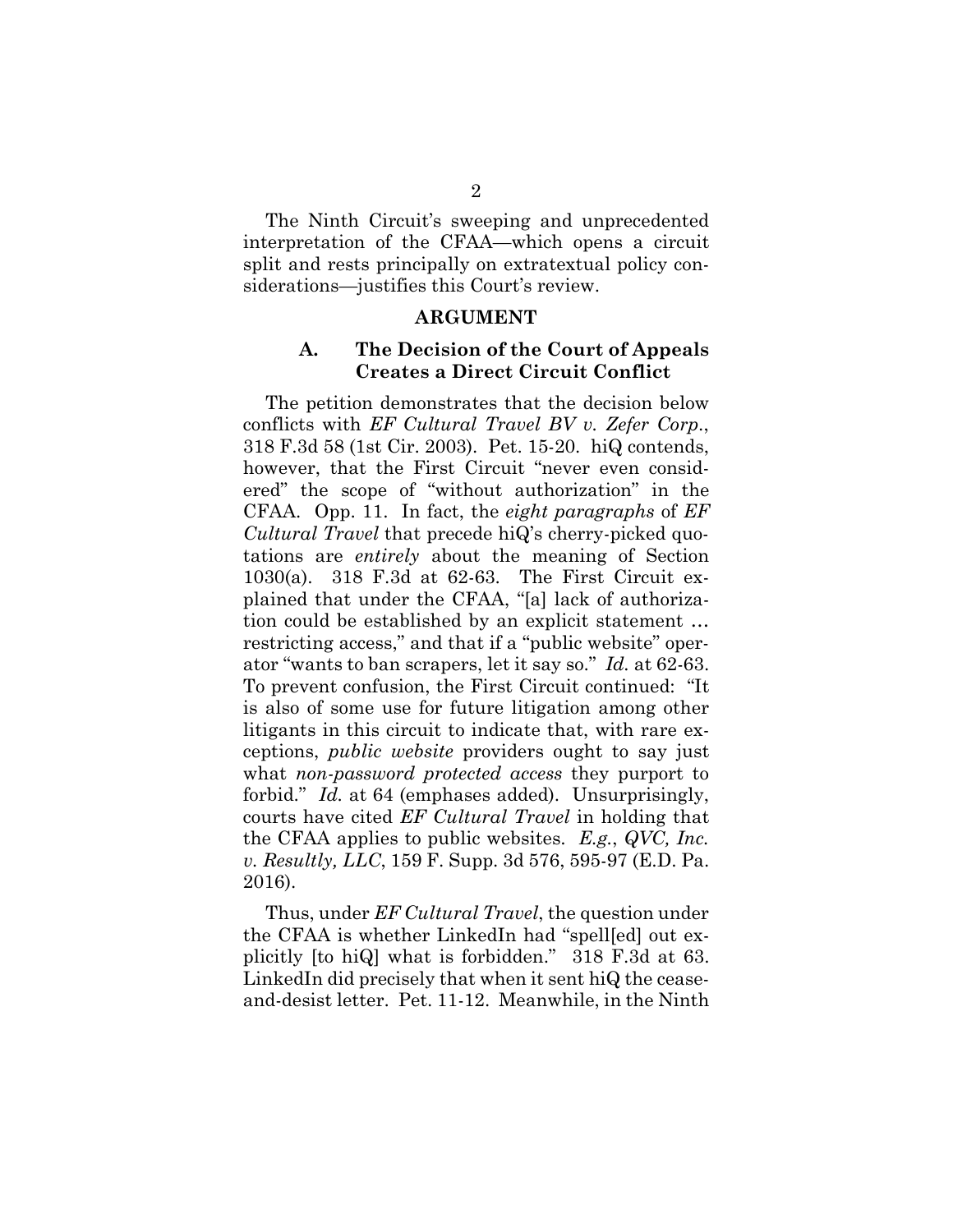The Ninth Circuit's sweeping and unprecedented interpretation of the CFAA—which opens a circuit split and rests principally on extratextual policy considerations—justifies this Court's review.

#### **ARGUMENT**

#### <span id="page-6-0"></span>**A. The Decision of the Court of Appeals Creates a Direct Circuit Conflict**

<span id="page-6-1"></span>The petition demonstrates that the decision below conflicts with *EF Cultural Travel BV v. Zefer Corp*., 318 F.3d 58 (1st Cir. 2003). Pet. 15-20. hiQ contends, however, that the First Circuit "never even considered" the scope of "without authorization" in the CFAA. Opp. 11. In fact, the *eight paragraphs* of *EF Cultural Travel* that precede hiQ's cherry-picked quotations are *entirely* about the meaning of Section 1030(a). 318 F.3d at 62-63. The First Circuit explained that under the CFAA, "[a] lack of authorization could be established by an explicit statement … restricting access," and that if a "public website" operator "wants to ban scrapers, let it say so." *Id.* at 62-63. To prevent confusion, the First Circuit continued: "It is also of some use for future litigation among other litigants in this circuit to indicate that, with rare exceptions, *public website* providers ought to say just what *non-password protected access* they purport to forbid." *Id.* at 64 (emphases added). Unsurprisingly, courts have cited *EF Cultural Travel* in holding that the CFAA applies to public websites. *E.g.*, *QVC, Inc. v. Resultly, LLC*, 159 F. Supp. 3d 576, 595-97 (E.D. Pa. 2016).

Thus, under *EF Cultural Travel*, the question under the CFAA is whether LinkedIn had "spell[ed] out explicitly [to hiQ] what is forbidden." 318 F.3d at 63. LinkedIn did precisely that when it sent hiQ the ceaseand-desist letter. Pet. 11-12. Meanwhile, in the Ninth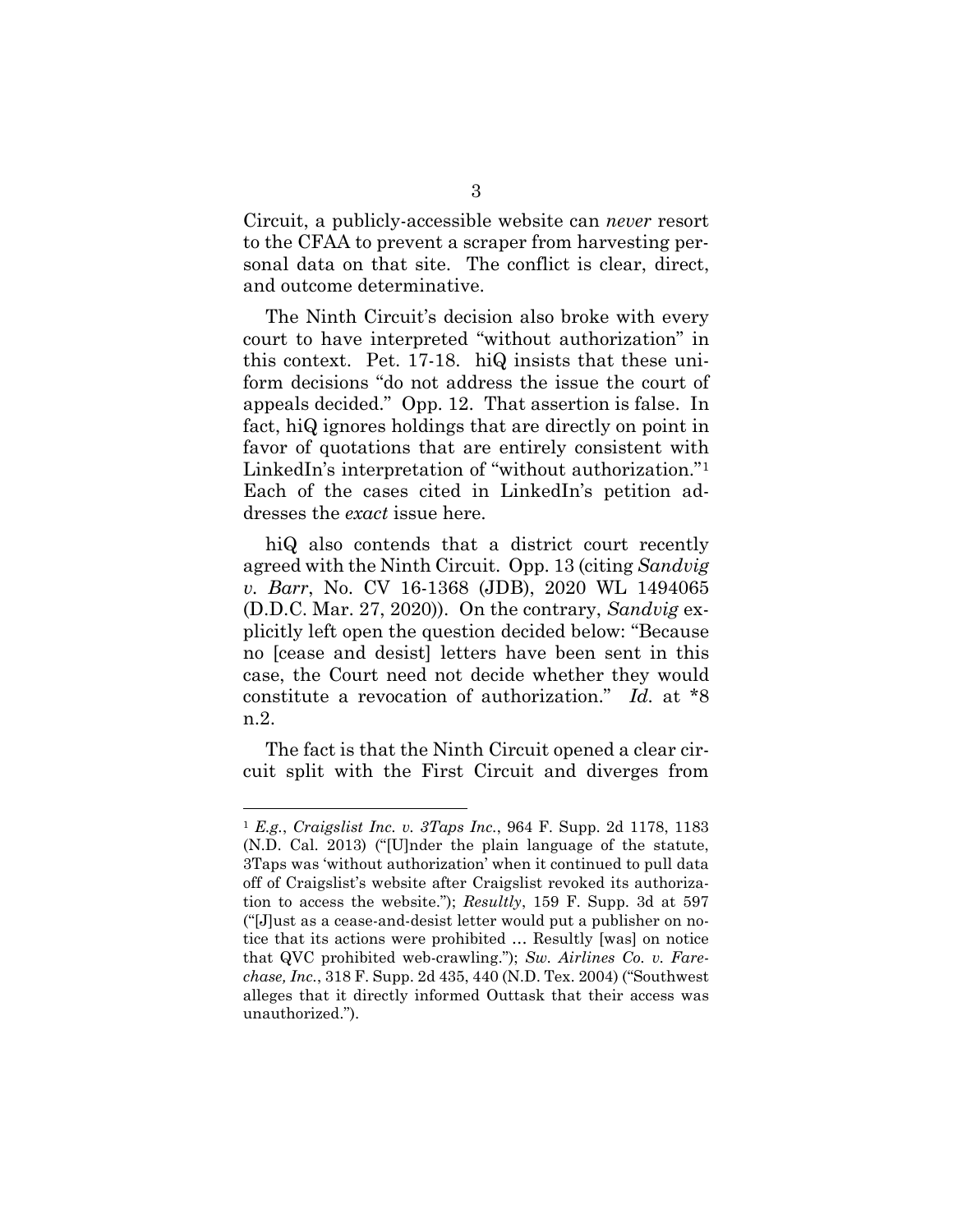Circuit, a publicly-accessible website can *never* resort to the CFAA to prevent a scraper from harvesting personal data on that site. The conflict is clear, direct, and outcome determinative.

The Ninth Circuit's decision also broke with every court to have interpreted "without authorization" in this context. Pet. 17-18. hiQ insists that these uniform decisions "do not address the issue the court of appeals decided." Opp. 12. That assertion is false. In fact, hiQ ignores holdings that are directly on point in favor of quotations that are entirely consistent with LinkedIn's interpretation of "without authorization."[1](#page-7-0)  Each of the cases cited in LinkedIn's petition addresses the *exact* issue here.

hiQ also contends that a district court recently agreed with the Ninth Circuit. Opp. 13 (citing *Sandvig v. Barr*, No. CV 16-1368 (JDB), 2020 WL 1494065 (D.D.C. Mar. 27, 2020)). On the contrary, *Sandvig* explicitly left open the question decided below: "Because no [cease and desist] letters have been sent in this case, the Court need not decide whether they would constitute a revocation of authorization." *Id.* at \*8 n.2.

The fact is that the Ninth Circuit opened a clear circuit split with the First Circuit and diverges from

<span id="page-7-0"></span> <sup>1</sup> *E.g.*, *Craigslist Inc. v. 3Taps Inc.*, 964 F. Supp. 2d 1178, 1183 (N.D. Cal. 2013) ("[U]nder the plain language of the statute, 3Taps was 'without authorization' when it continued to pull data off of Craigslist's website after Craigslist revoked its authorization to access the website."); *Resultly*, 159 F. Supp. 3d at 597 ("[J]ust as a cease-and-desist letter would put a publisher on notice that its actions were prohibited … Resultly [was] on notice that QVC prohibited web-crawling."); *Sw. Airlines Co. v. Farechase, Inc.*, 318 F. Supp. 2d 435, 440 (N.D. Tex. 2004) ("Southwest alleges that it directly informed Outtask that their access was unauthorized.").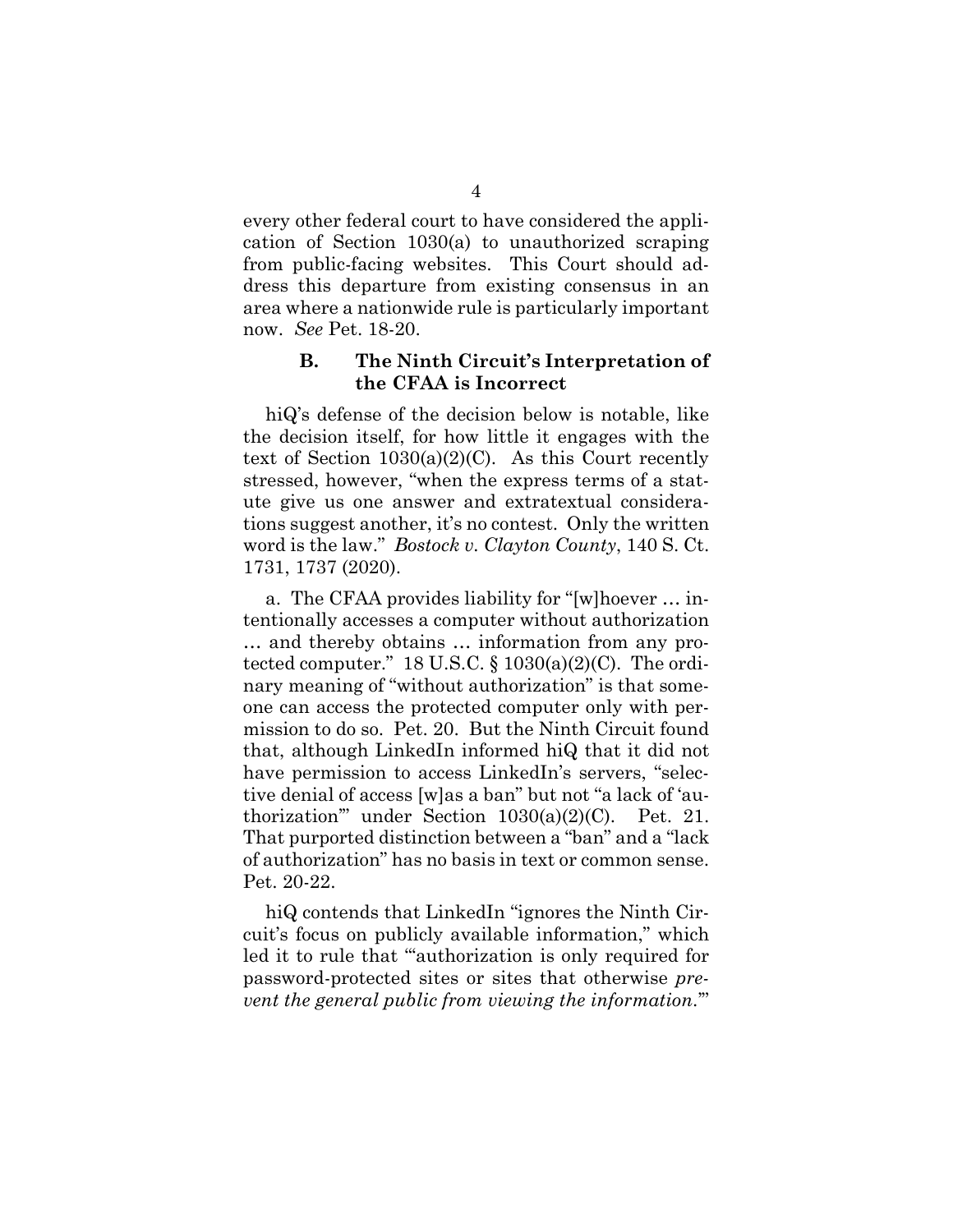every other federal court to have considered the application of Section 1030(a) to unauthorized scraping from public-facing websites. This Court should address this departure from existing consensus in an area where a nationwide rule is particularly important now. *See* Pet. 18-20.

#### **B. The Ninth Circuit's Interpretation of the CFAA is Incorrect**

<span id="page-8-0"></span>hiQ's defense of the decision below is notable, like the decision itself, for how little it engages with the text of Section  $1030(a)(2)(C)$ . As this Court recently stressed, however, "when the express terms of a statute give us one answer and extratextual considerations suggest another, it's no contest. Only the written word is the law." *Bostock v. Clayton County*, 140 S. Ct. 1731, 1737 (2020).

a. The CFAA provides liability for "[w]hoever … intentionally accesses a computer without authorization … and thereby obtains … information from any protected computer." 18 U.S.C.  $\S$  1030(a)(2)(C). The ordinary meaning of "without authorization" is that someone can access the protected computer only with permission to do so. Pet. 20. But the Ninth Circuit found that, although LinkedIn informed hiQ that it did not have permission to access LinkedIn's servers, "selective denial of access [w]as a ban" but not "a lack of 'authorization'" under Section 1030(a)(2)(C). Pet. 21. That purported distinction between a "ban" and a "lack of authorization" has no basis in text or common sense. Pet. 20-22.

hiQ contends that LinkedIn "ignores the Ninth Circuit's focus on publicly available information," which led it to rule that ""authorization is only required for password-protected sites or sites that otherwise *prevent the general public from viewing the information*.'"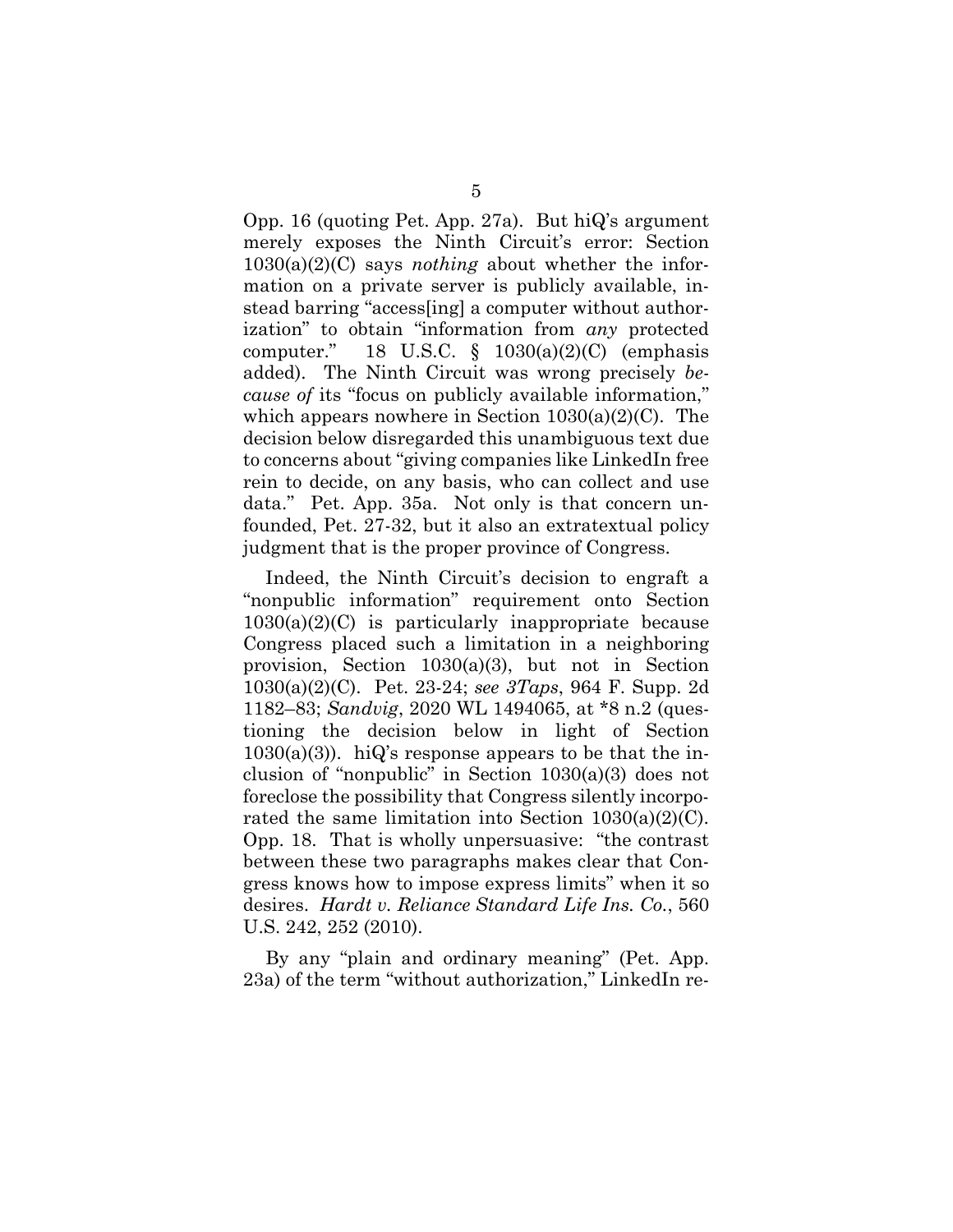Opp. 16 (quoting Pet. App. 27a). But hiQ's argument merely exposes the Ninth Circuit's error: Section 1030(a)(2)(C) says *nothing* about whether the information on a private server is publicly available, instead barring "access[ing] a computer without authorization" to obtain "information from *any* protected computer." 18 U.S.C.  $\S$  1030(a)(2)(C) (emphasis added). The Ninth Circuit was wrong precisely *because of* its "focus on publicly available information," which appears nowhere in Section  $1030(a)(2)(C)$ . The decision below disregarded this unambiguous text due to concerns about "giving companies like LinkedIn free rein to decide, on any basis, who can collect and use data." Pet. App. 35a. Not only is that concern unfounded, Pet. 27-32, but it also an extratextual policy judgment that is the proper province of Congress.

Indeed, the Ninth Circuit's decision to engraft a "nonpublic information" requirement onto Section  $1030(a)(2)(C)$  is particularly inappropriate because Congress placed such a limitation in a neighboring provision, Section 1030(a)(3), but not in Section 1030(a)(2)(C). Pet. 23-24; *see 3Taps*, 964 F. Supp. 2d 1182–83; *Sandvig*, 2020 WL 1494065, at \*8 n.2 (questioning the decision below in light of Section  $1030(a)(3)$ . hiQ's response appears to be that the inclusion of "nonpublic" in Section 1030(a)(3) does not foreclose the possibility that Congress silently incorporated the same limitation into Section  $1030(a)(2)(C)$ . Opp. 18. That is wholly unpersuasive: "the contrast between these two paragraphs makes clear that Congress knows how to impose express limits" when it so desires. *Hardt v. Reliance Standard Life Ins. Co.*, 560 U.S. 242, 252 (2010).

By any "plain and ordinary meaning" (Pet. App. 23a) of the term "without authorization," LinkedIn re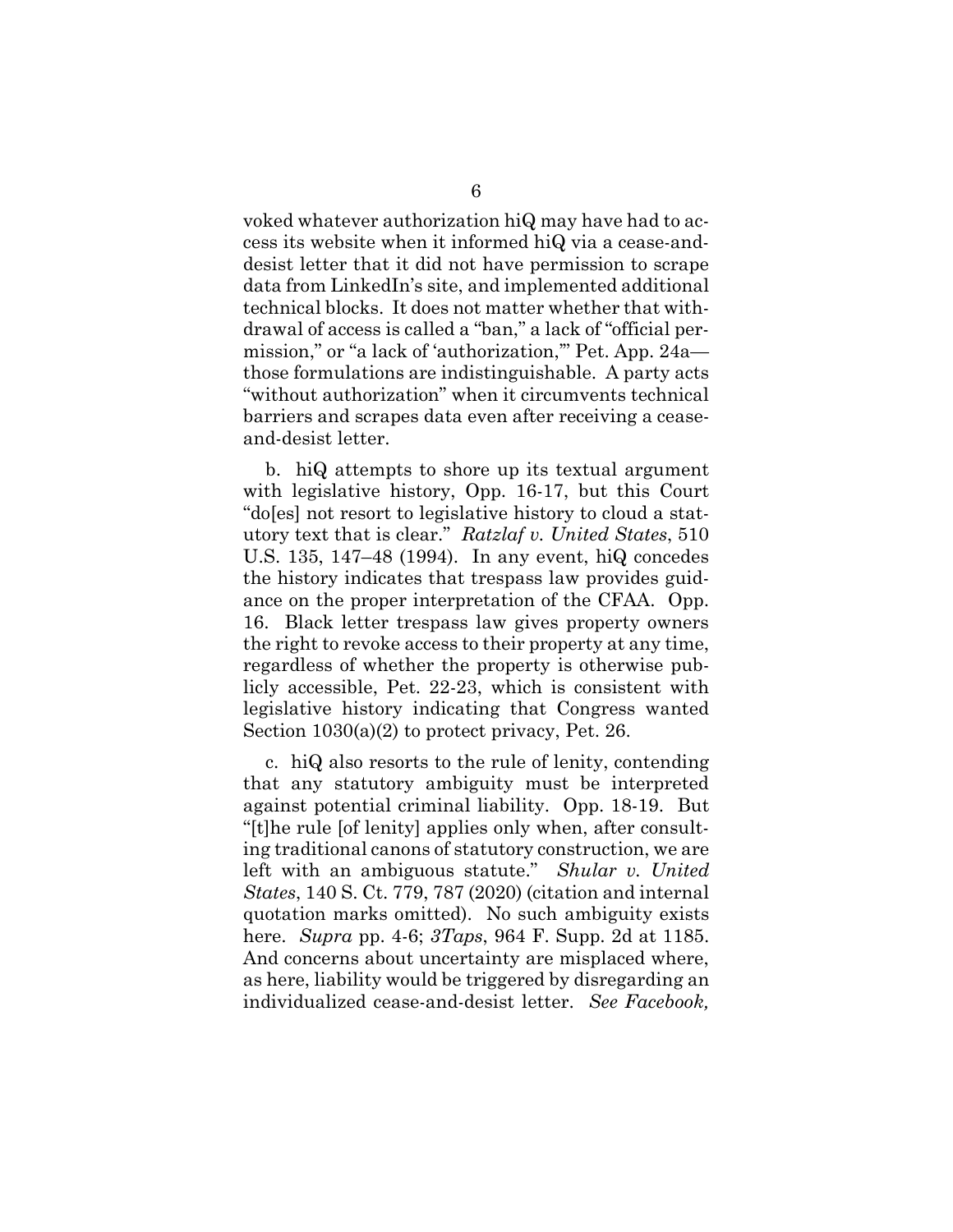voked whatever authorization hiQ may have had to access its website when it informed hiQ via a cease-anddesist letter that it did not have permission to scrape data from LinkedIn's site, and implemented additional technical blocks. It does not matter whether that withdrawal of access is called a "ban," a lack of "official permission," or "a lack of 'authorization,'" Pet. App. 24a those formulations are indistinguishable. A party acts "without authorization" when it circumvents technical barriers and scrapes data even after receiving a ceaseand-desist letter.

b. hiQ attempts to shore up its textual argument with legislative history, Opp. 16-17, but this Court "do[es] not resort to legislative history to cloud a statutory text that is clear." *Ratzlaf v. United States*, 510 U.S. 135, 147–48 (1994). In any event, hiQ concedes the history indicates that trespass law provides guidance on the proper interpretation of the CFAA. Opp. 16. Black letter trespass law gives property owners the right to revoke access to their property at any time, regardless of whether the property is otherwise publicly accessible, Pet. 22-23, which is consistent with legislative history indicating that Congress wanted Section 1030(a)(2) to protect privacy, Pet. 26.

c. hiQ also resorts to the rule of lenity, contending that any statutory ambiguity must be interpreted against potential criminal liability. Opp. 18-19. But "[t]he rule [of lenity] applies only when, after consulting traditional canons of statutory construction, we are left with an ambiguous statute." *Shular v. United States*, 140 S. Ct. 779, 787 (2020) (citation and internal quotation marks omitted). No such ambiguity exists here. *Supra* pp. 4-6; *3Taps*, 964 F. Supp. 2d at 1185. And concerns about uncertainty are misplaced where, as here, liability would be triggered by disregarding an individualized cease-and-desist letter. *See Facebook,*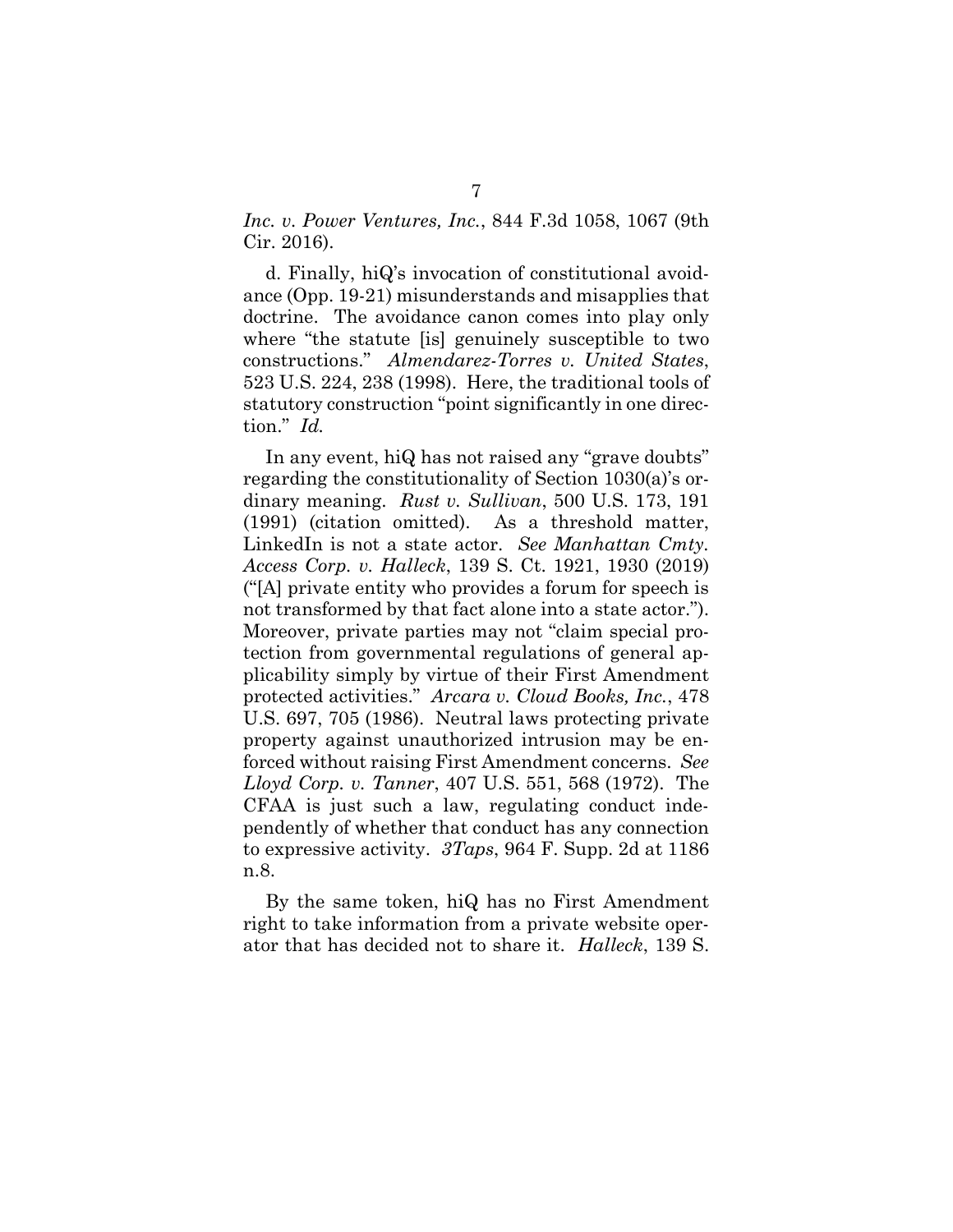*Inc. v. Power Ventures, Inc.*, 844 F.3d 1058, 1067 (9th Cir. 2016).

d. Finally, hiQ's invocation of constitutional avoidance (Opp. 19-21) misunderstands and misapplies that doctrine. The avoidance canon comes into play only where "the statute [is] genuinely susceptible to two constructions." *Almendarez-Torres v. United States*, 523 U.S. 224, 238 (1998). Here, the traditional tools of statutory construction "point significantly in one direction." *Id.*

In any event, hiQ has not raised any "grave doubts" regarding the constitutionality of Section 1030(a)'s ordinary meaning. *Rust v. Sullivan*, 500 U.S. 173, 191 (1991) (citation omitted). As a threshold matter, LinkedIn is not a state actor. *See Manhattan Cmty. Access Corp. v. Halleck*, 139 S. Ct. 1921, 1930 (2019) ("[A] private entity who provides a forum for speech is not transformed by that fact alone into a state actor."). Moreover, private parties may not "claim special protection from governmental regulations of general applicability simply by virtue of their First Amendment protected activities." *Arcara v. Cloud Books, Inc.*, 478 U.S. 697, 705 (1986). Neutral laws protecting private property against unauthorized intrusion may be enforced without raising First Amendment concerns. *See Lloyd Corp. v. Tanner*, 407 U.S. 551, 568 (1972). The CFAA is just such a law, regulating conduct independently of whether that conduct has any connection to expressive activity. *3Taps*, 964 F. Supp. 2d at 1186 n.8.

By the same token, hiQ has no First Amendment right to take information from a private website operator that has decided not to share it. *Halleck*, 139 S.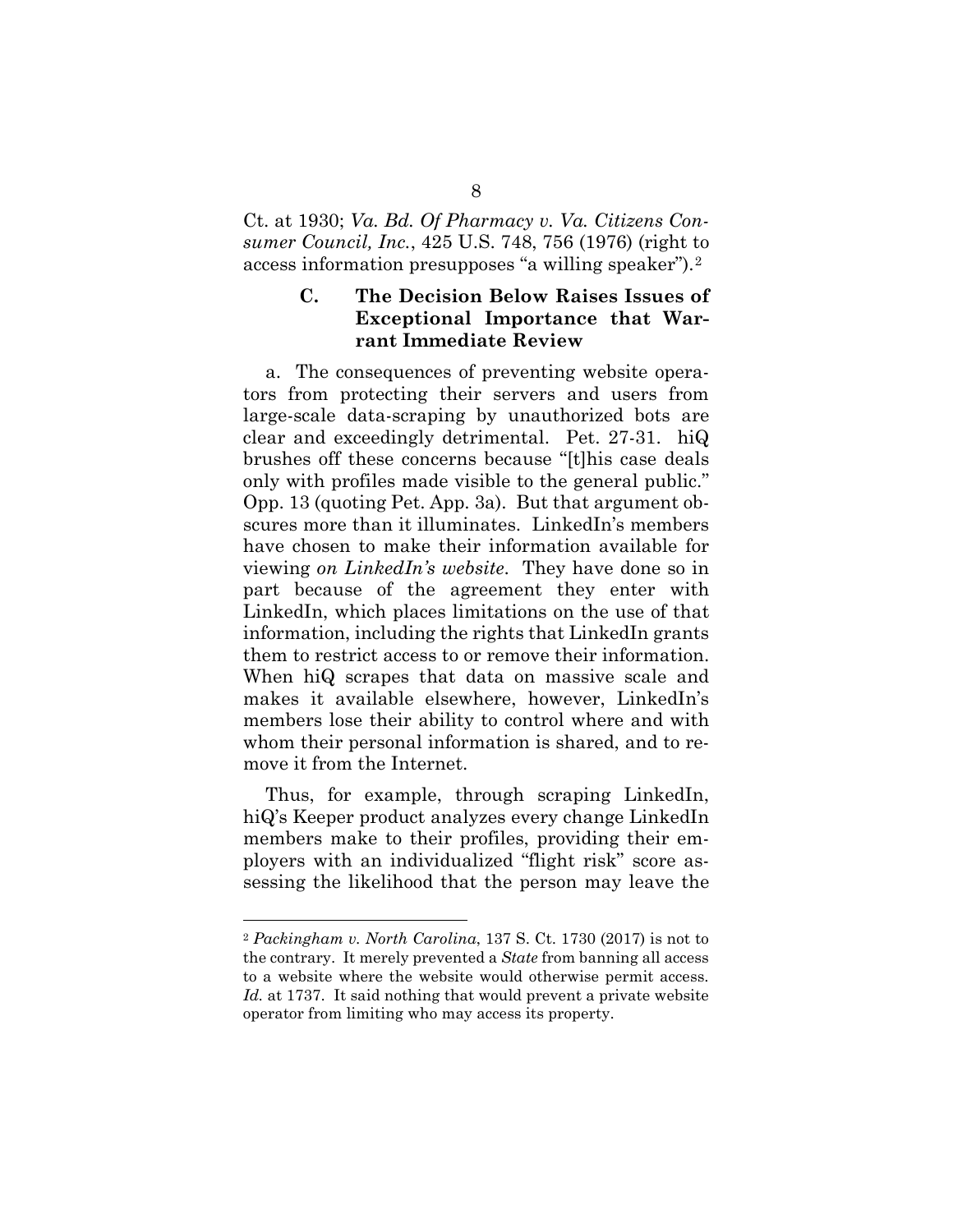Ct. at 1930; *Va. Bd. Of Pharmacy v. Va. Citizens Consumer Council, Inc.*, 425 U.S. 748, 756 (1976) (right to access information presupposes "a willing speaker").[2](#page-12-1)

### <span id="page-12-0"></span>**C. The Decision Below Raises Issues of Exceptional Importance that Warrant Immediate Review**

a. The consequences of preventing website operators from protecting their servers and users from large-scale data-scraping by unauthorized bots are clear and exceedingly detrimental. Pet. 27-31. hiQ brushes off these concerns because "[t]his case deals only with profiles made visible to the general public." Opp. 13 (quoting Pet. App. 3a). But that argument obscures more than it illuminates. LinkedIn's members have chosen to make their information available for viewing *on LinkedIn's website*. They have done so in part because of the agreement they enter with LinkedIn, which places limitations on the use of that information, including the rights that LinkedIn grants them to restrict access to or remove their information. When hiQ scrapes that data on massive scale and makes it available elsewhere, however, LinkedIn's members lose their ability to control where and with whom their personal information is shared, and to remove it from the Internet.

Thus, for example, through scraping LinkedIn, hiQ's Keeper product analyzes every change LinkedIn members make to their profiles, providing their employers with an individualized "flight risk" score assessing the likelihood that the person may leave the

<span id="page-12-1"></span> <sup>2</sup> *Packingham v. North Carolina*, 137 S. Ct. 1730 (2017) is not to the contrary. It merely prevented a *State* from banning all access to a website where the website would otherwise permit access. *Id.* at 1737. It said nothing that would prevent a private website operator from limiting who may access its property.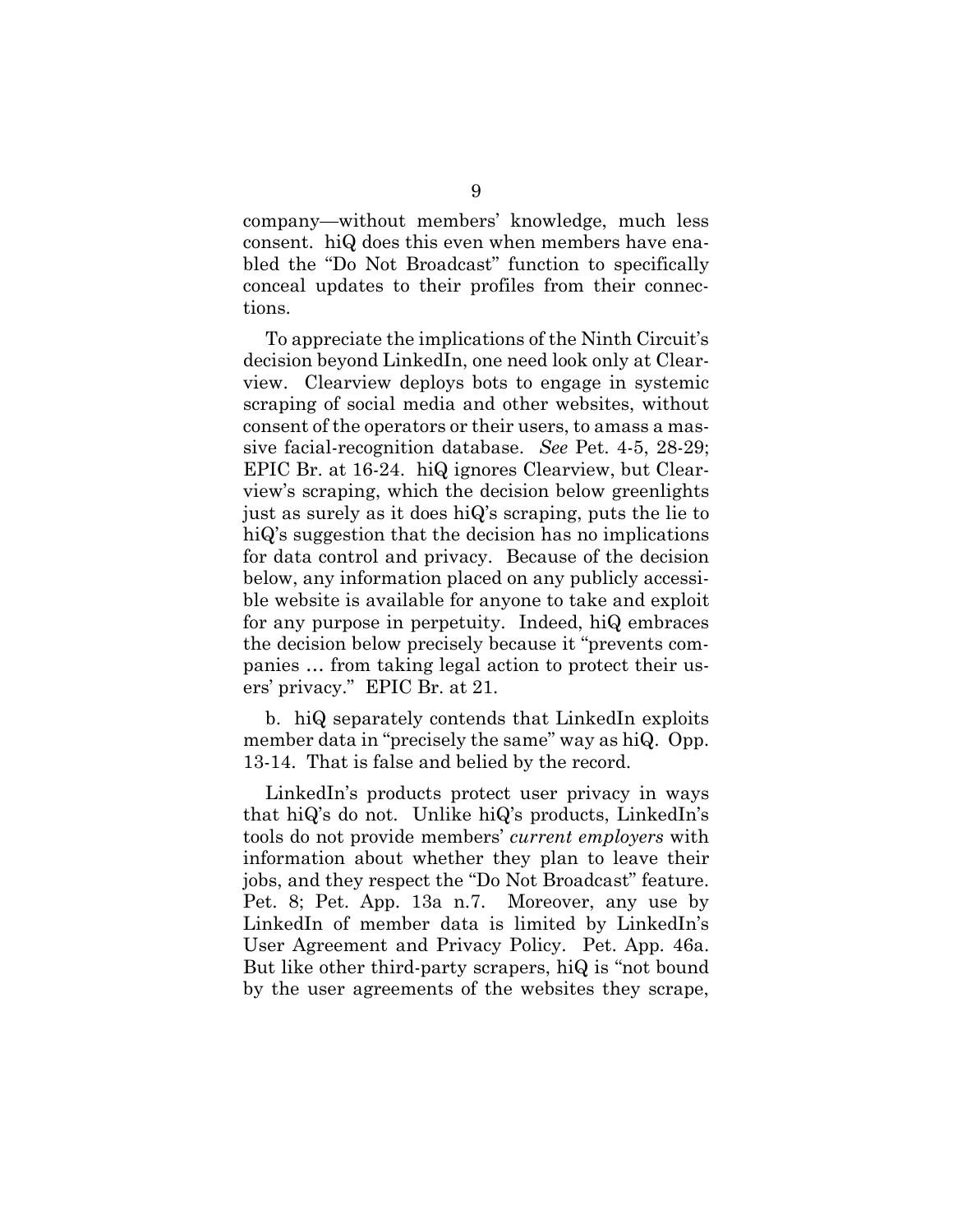company—without members' knowledge, much less consent. hiQ does this even when members have enabled the "Do Not Broadcast" function to specifically conceal updates to their profiles from their connections.

To appreciate the implications of the Ninth Circuit's decision beyond LinkedIn, one need look only at Clearview. Clearview deploys bots to engage in systemic scraping of social media and other websites, without consent of the operators or their users, to amass a massive facial-recognition database. *See* Pet. 4-5, 28-29; EPIC Br. at 16-24. hiQ ignores Clearview, but Clearview's scraping, which the decision below greenlights just as surely as it does hiQ's scraping, puts the lie to hiQ's suggestion that the decision has no implications for data control and privacy. Because of the decision below, any information placed on any publicly accessible website is available for anyone to take and exploit for any purpose in perpetuity. Indeed, hiQ embraces the decision below precisely because it "prevents companies … from taking legal action to protect their users' privacy." EPIC Br. at 21.

b. hiQ separately contends that LinkedIn exploits member data in "precisely the same" way as hiQ. Opp. 13-14. That is false and belied by the record.

LinkedIn's products protect user privacy in ways that hiQ's do not. Unlike hiQ's products, LinkedIn's tools do not provide members' *current employers* with information about whether they plan to leave their jobs, and they respect the "Do Not Broadcast" feature. Pet. 8; Pet. App. 13a n.7. Moreover, any use by LinkedIn of member data is limited by LinkedIn's User Agreement and Privacy Policy. Pet. App. 46a. But like other third-party scrapers, hiQ is "not bound by the user agreements of the websites they scrape,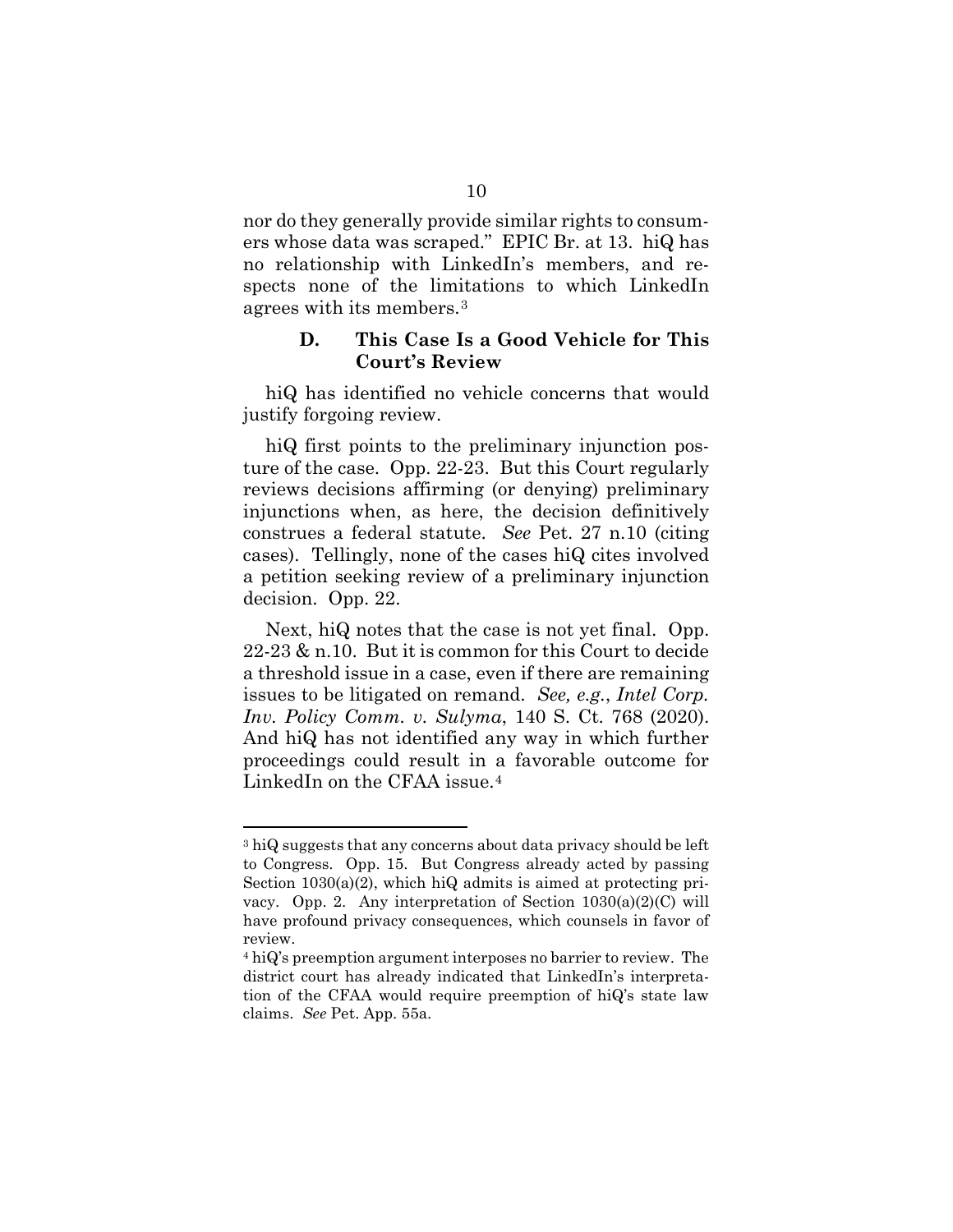nor do they generally provide similar rights to consumers whose data was scraped." EPIC Br. at 13. hiQ has no relationship with LinkedIn's members, and respects none of the limitations to which LinkedIn agrees with its members.[3](#page-14-1)

#### **D. This Case Is a Good Vehicle for This Court's Review**

<span id="page-14-0"></span>hiQ has identified no vehicle concerns that would justify forgoing review.

hiQ first points to the preliminary injunction posture of the case. Opp. 22-23. But this Court regularly reviews decisions affirming (or denying) preliminary injunctions when, as here, the decision definitively construes a federal statute. *See* Pet. 27 n.10 (citing cases). Tellingly, none of the cases hiQ cites involved a petition seeking review of a preliminary injunction decision. Opp. 22.

Next, hiQ notes that the case is not yet final. Opp. 22-23 & n.10. But it is common for this Court to decide a threshold issue in a case, even if there are remaining issues to be litigated on remand. *See, e.g.*, *Intel Corp. Inv. Policy Comm. v. Sulyma*, 140 S. Ct. 768 (2020). And hiQ has not identified any way in which further proceedings could result in a favorable outcome for LinkedIn on the CFAA issue.<sup>[4](#page-14-2)</sup>

<span id="page-14-1"></span><sup>&</sup>lt;sup>3</sup> hiQ suggests that any concerns about data privacy should be left to Congress. Opp. 15. But Congress already acted by passing Section 1030(a)(2), which hiQ admits is aimed at protecting privacy. Opp. 2. Any interpretation of Section 1030(a)(2)(C) will have profound privacy consequences, which counsels in favor of review.

<span id="page-14-2"></span><sup>4</sup> hiQ's preemption argument interposes no barrier to review. The district court has already indicated that LinkedIn's interpretation of the CFAA would require preemption of hiQ's state law claims. *See* Pet. App. 55a.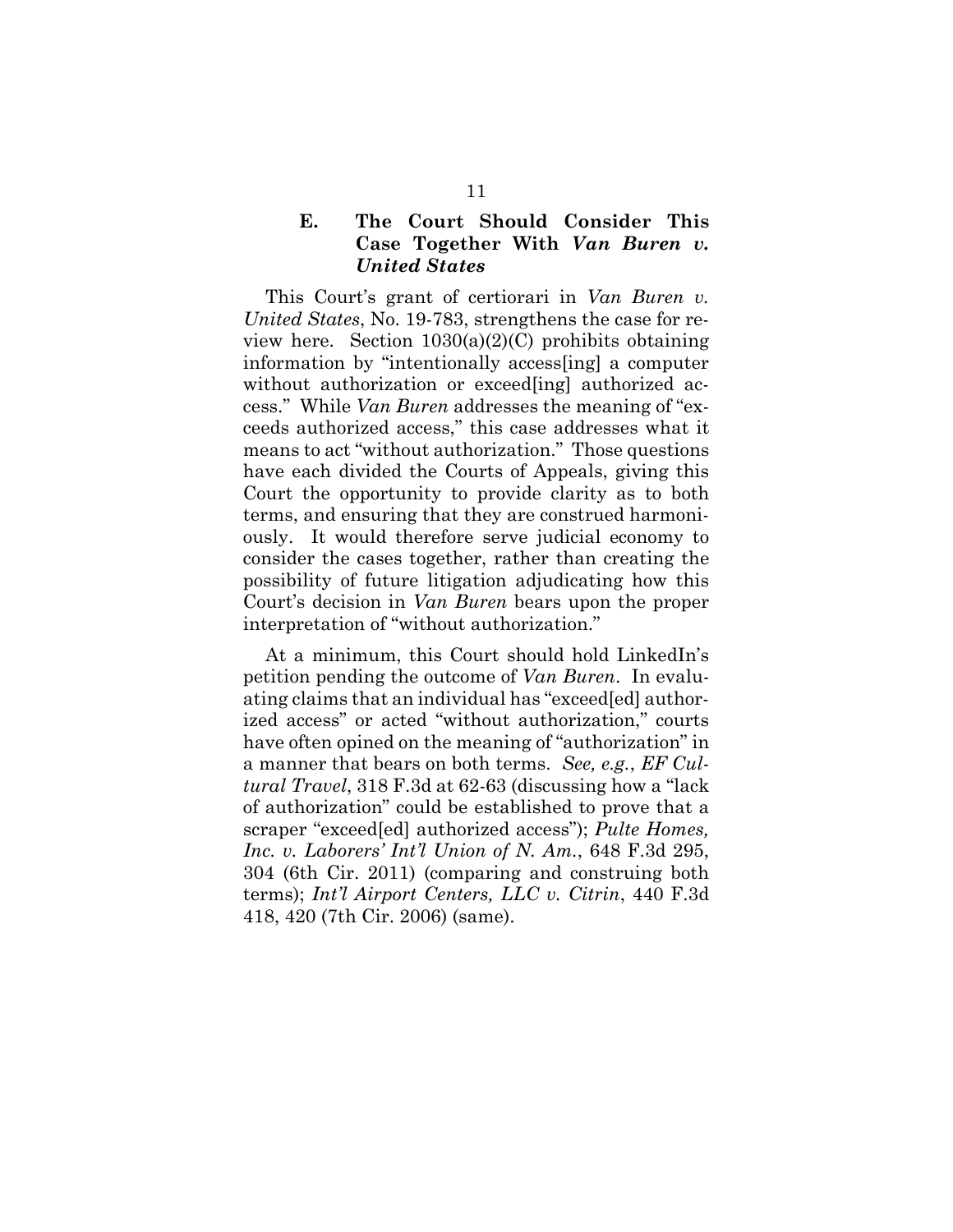### <span id="page-15-0"></span>**E. The Court Should Consider This Case Together With** *Van Buren v. United States*

This Court's grant of certiorari in *Van Buren v. United States*, No. 19-783, strengthens the case for review here. Section  $1030(a)(2)(C)$  prohibits obtaining information by "intentionally access[ing] a computer without authorization or exceed [ing] authorized access." While *Van Buren* addresses the meaning of "exceeds authorized access," this case addresses what it means to act "without authorization." Those questions have each divided the Courts of Appeals, giving this Court the opportunity to provide clarity as to both terms, and ensuring that they are construed harmoniously. It would therefore serve judicial economy to consider the cases together, rather than creating the possibility of future litigation adjudicating how this Court's decision in *Van Buren* bears upon the proper interpretation of "without authorization."

At a minimum, this Court should hold LinkedIn's petition pending the outcome of *Van Buren*. In evaluating claims that an individual has "exceed[ed] authorized access" or acted "without authorization," courts have often opined on the meaning of "authorization" in a manner that bears on both terms. *See, e.g.*, *EF Cultural Travel*, 318 F.3d at 62-63 (discussing how a "lack of authorization" could be established to prove that a scraper "exceed[ed] authorized access"); *Pulte Homes, Inc. v. Laborers' Int'l Union of N. Am.*, 648 F.3d 295, 304 (6th Cir. 2011) (comparing and construing both terms); *Int'l Airport Centers, LLC v. Citrin*, 440 F.3d 418, 420 (7th Cir. 2006) (same).